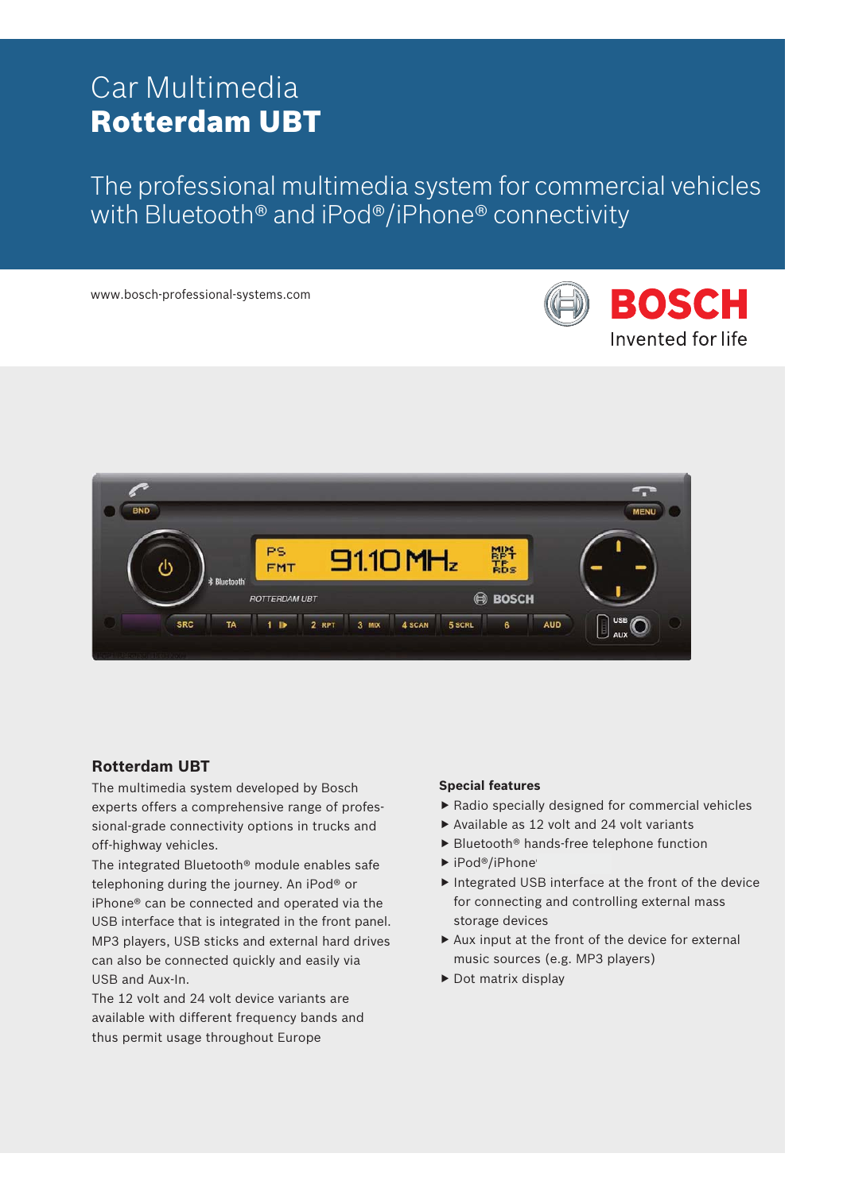# Car Multimedia Rotterdam UBT

The professional multimedia system for commercial vehicles with Bluetooth® and iPod®/iPhone® connectivity

www.bosch-professional-systems.com





# **Rotterdam UBT**

The multimedia system developed by Bosch experts offers a comprehensive range of professional-grade connectivity options in trucks and off-highway vehicles.

The integrated Bluetooth® module enables safe telephoning during the journey. An iPod® or iPhone® can be connected and operated via the USB interface that is integrated in the front panel. MP3 players, USB sticks and external hard drives can also be connected quickly and easily via USB and Aux-In.

The 12 volt and 24 volt device variants are available with different frequency bands and thus permit usage throughout Europe

# **Special features**

- $\blacktriangleright$  Radio specially designed for commercial vehicles
- $\triangleright$  Available as 12 volt and 24 volt variants
- $\blacktriangleright$  Bluetooth® hands-free telephone function
- $\blacktriangleright$  iPod®/iPhone
- $\blacktriangleright$  Integrated USB interface at the front of the device for connecting and controlling external mass storage devices
- $\blacktriangleright$  Aux input at the front of the device for external music sources (e.g. MP3 players)
- $\blacktriangleright$  Dot matrix display